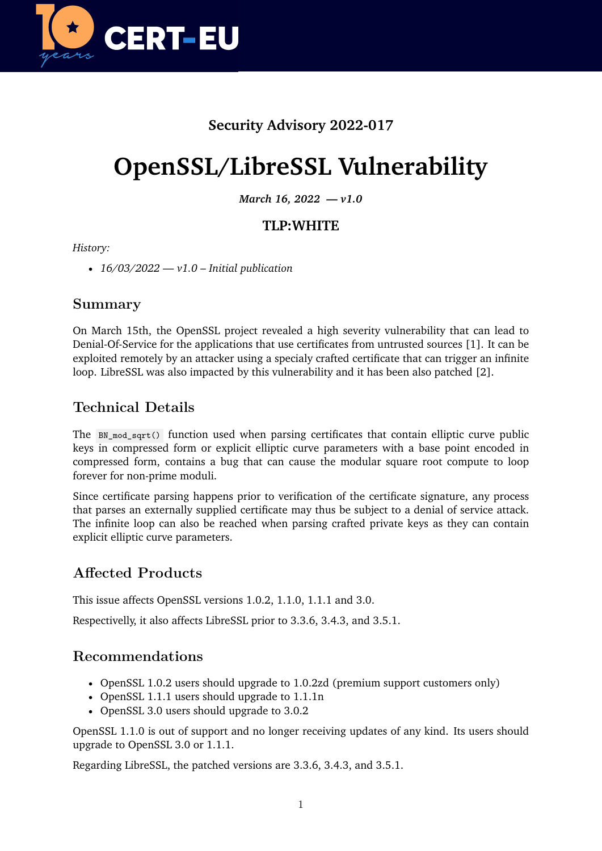

# **Security Advisory 2022-017**

# **OpenSSL/LibreSSL Vulnerability**

*March 16, 2022 — v1.0*

## **TLP:WHITE**

#### *History:*

• *16/03/2022 — v1.0 – Initial publication*

#### **Summary**

On March 15th, the OpenSSL project revealed a high severity vulnerability that can lead to Denial-Of-Service for the applications that use certificates from untrusted sources [1]. It can be exploited remotely by an attacker using a specialy crafted certificate that can trigger an infinite loop. LibreSSL was also impacted by this vulnerability and it has been also patched [2].

## **Technical Details**

The BN\_mod\_sqrt() function used when parsing certificates that contain elliptic curve public keys in compressed form or explicit elliptic curve parameters with a base point encoded in compressed form, contains a bug that can cause the modular square root compute to loop forever for non-prime moduli.

Since certificate parsing happens prior to verification of the certificate signature, any process that parses an externally supplied certificate may thus be subject to a denial of service attack. The infinite loop can also be reached when parsing crafted private keys as they can contain explicit elliptic curve parameters.

## **Affected Products**

This issue affects OpenSSL versions 1.0.2, 1.1.0, 1.1.1 and 3.0.

Respectivelly, it also affects LibreSSL prior to 3.3.6, 3.4.3, and 3.5.1.

### **Recommendations**

- OpenSSL 1.0.2 users should upgrade to 1.0.2zd (premium support customers only)
- OpenSSL 1.1.1 users should upgrade to 1.1.1n
- OpenSSL 3.0 users should upgrade to 3.0.2

OpenSSL 1.1.0 is out of support and no longer receiving updates of any kind. Its users should upgrade to OpenSSL 3.0 or 1.1.1.

Regarding LibreSSL, the patched versions are 3.3.6, 3.4.3, and 3.5.1.